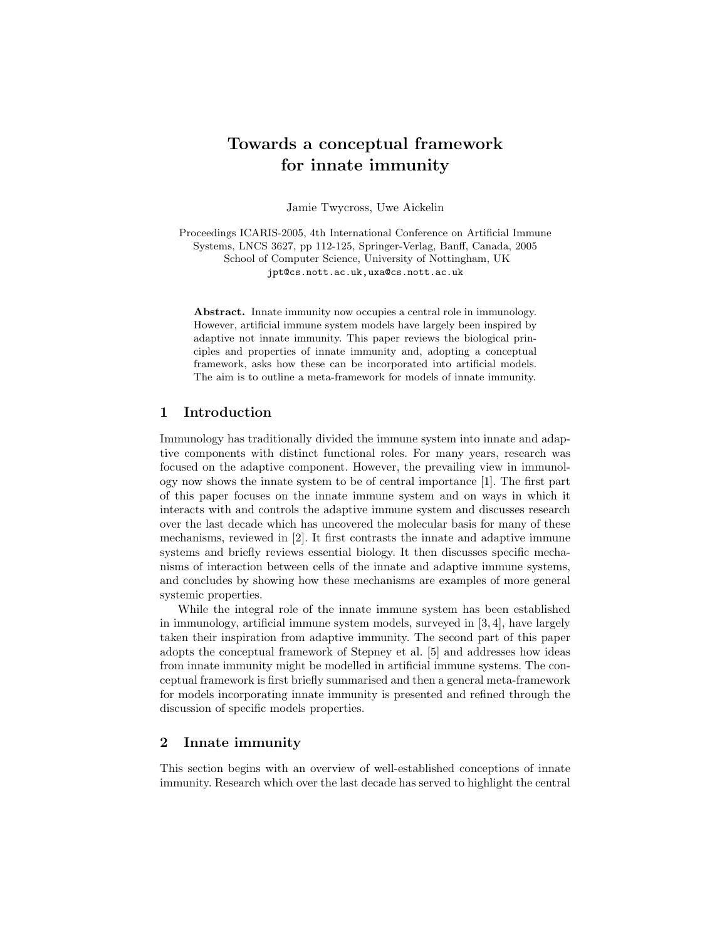# Towards a conceptual framework for innate immunity

Jamie Twycross, Uwe Aickelin

Proceedings ICARIS-2005, 4th International Conference on Artificial Immune Systems, LNCS 3627, pp 112-125, Springer-Verlag, Banff, Canada, 2005 School of Computer Science, University of Nottingham, UK jpt@cs.nott.ac.uk,uxa@cs.nott.ac.uk

Abstract. Innate immunity now occupies a central role in immunology. However, artificial immune system models have largely been inspired by adaptive not innate immunity. This paper reviews the biological principles and properties of innate immunity and, adopting a conceptual framework, asks how these can be incorporated into artificial models. The aim is to outline a meta-framework for models of innate immunity.

## 1 Introduction

Immunology has traditionally divided the immune system into innate and adaptive components with distinct functional roles. For many years, research was focused on the adaptive component. However, the prevailing view in immunology now shows the innate system to be of central importance [1]. The first part of this paper focuses on the innate immune system and on ways in which it interacts with and controls the adaptive immune system and discusses research over the last decade which has uncovered the molecular basis for many of these mechanisms, reviewed in [2]. It first contrasts the innate and adaptive immune systems and briefly reviews essential biology. It then discusses specific mechanisms of interaction between cells of the innate and adaptive immune systems, and concludes by showing how these mechanisms are examples of more general systemic properties.

While the integral role of the innate immune system has been established in immunology, artificial immune system models, surveyed in [3, 4], have largely taken their inspiration from adaptive immunity. The second part of this paper adopts the conceptual framework of Stepney et al. [5] and addresses how ideas from innate immunity might be modelled in artificial immune systems. The conceptual framework is first briefly summarised and then a general meta-framework for models incorporating innate immunity is presented and refined through the discussion of specific models properties.

## 2 Innate immunity

This section begins with an overview of well-established conceptions of innate immunity. Research which over the last decade has served to highlight the central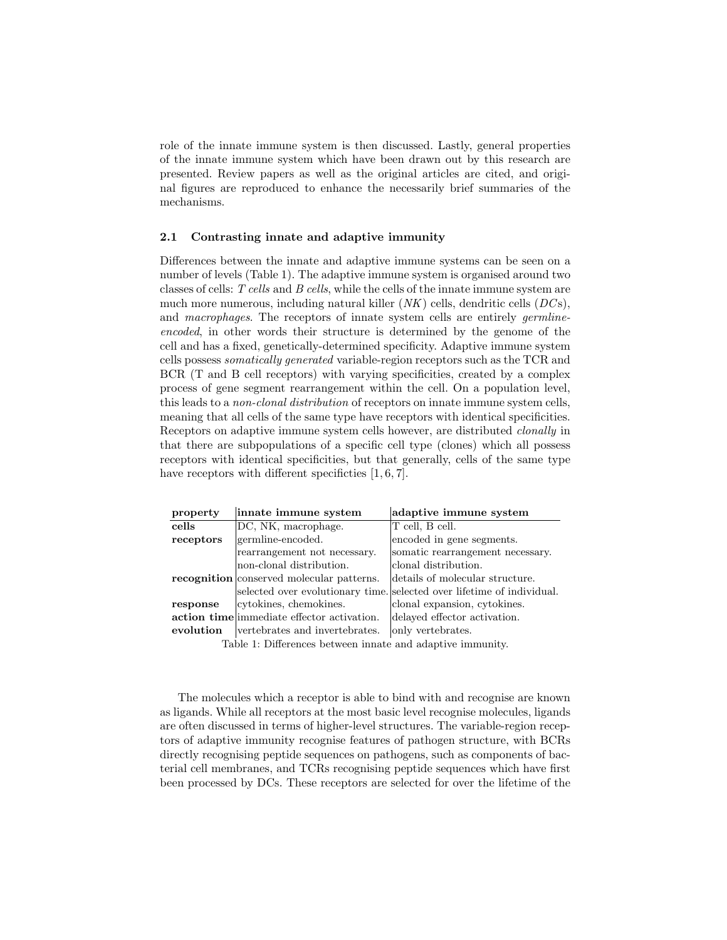role of the innate immune system is then discussed. Lastly, general properties of the innate immune system which have been drawn out by this research are presented. Review papers as well as the original articles are cited, and original figures are reproduced to enhance the necessarily brief summaries of the mechanisms.

#### 2.1 Contrasting innate and adaptive immunity

Differences between the innate and adaptive immune systems can be seen on a number of levels (Table 1). The adaptive immune system is organised around two classes of cells: T cells and B cells, while the cells of the innate immune system are much more numerous, including natural killer  $(NK)$  cells, dendritic cells  $(DCs)$ , and *macrophages*. The receptors of innate system cells are entirely *germline*encoded, in other words their structure is determined by the genome of the cell and has a fixed, genetically-determined specificity. Adaptive immune system cells possess somatically generated variable-region receptors such as the TCR and BCR (T and B cell receptors) with varying specificities, created by a complex process of gene segment rearrangement within the cell. On a population level, this leads to a non-clonal distribution of receptors on innate immune system cells, meaning that all cells of the same type have receptors with identical specificities. Receptors on adaptive immune system cells however, are distributed clonally in that there are subpopulations of a specific cell type (clones) which all possess receptors with identical specificities, but that generally, cells of the same type have receptors with different specificties [1, 6, 7].

| property                                                                                                                               | innate immune system                             | adaptive immune system                                                 |
|----------------------------------------------------------------------------------------------------------------------------------------|--------------------------------------------------|------------------------------------------------------------------------|
| cells                                                                                                                                  | DC, NK, macrophage.                              | T cell, B cell.                                                        |
| receptors                                                                                                                              | germline-encoded.                                | encoded in gene segments.                                              |
|                                                                                                                                        | rearrangement not necessary.                     | somatic rearrangement necessary.                                       |
|                                                                                                                                        | non-clonal distribution.                         | clonal distribution.                                                   |
|                                                                                                                                        | <b>recognition</b> conserved molecular patterns. | details of molecular structure.                                        |
|                                                                                                                                        |                                                  | selected over evolutionary time. selected over lifetime of individual. |
| response                                                                                                                               | cytokines, chemokines.                           | clonal expansion, cytokines.                                           |
|                                                                                                                                        | action time immediate effector activation.       | delayed effector activation.                                           |
| evolution                                                                                                                              | vertebrates and invertebrates.                   | only vertebrates.                                                      |
| $\pi$ ii $\pi$ $\pi$<br>records and the contract of the contract of the contract of the contract of the contract of the contract of th |                                                  |                                                                        |

Table 1: Differences between innate and adaptive immunity.

The molecules which a receptor is able to bind with and recognise are known as ligands. While all receptors at the most basic level recognise molecules, ligands are often discussed in terms of higher-level structures. The variable-region receptors of adaptive immunity recognise features of pathogen structure, with BCRs directly recognising peptide sequences on pathogens, such as components of bacterial cell membranes, and TCRs recognising peptide sequences which have first been processed by DCs. These receptors are selected for over the lifetime of the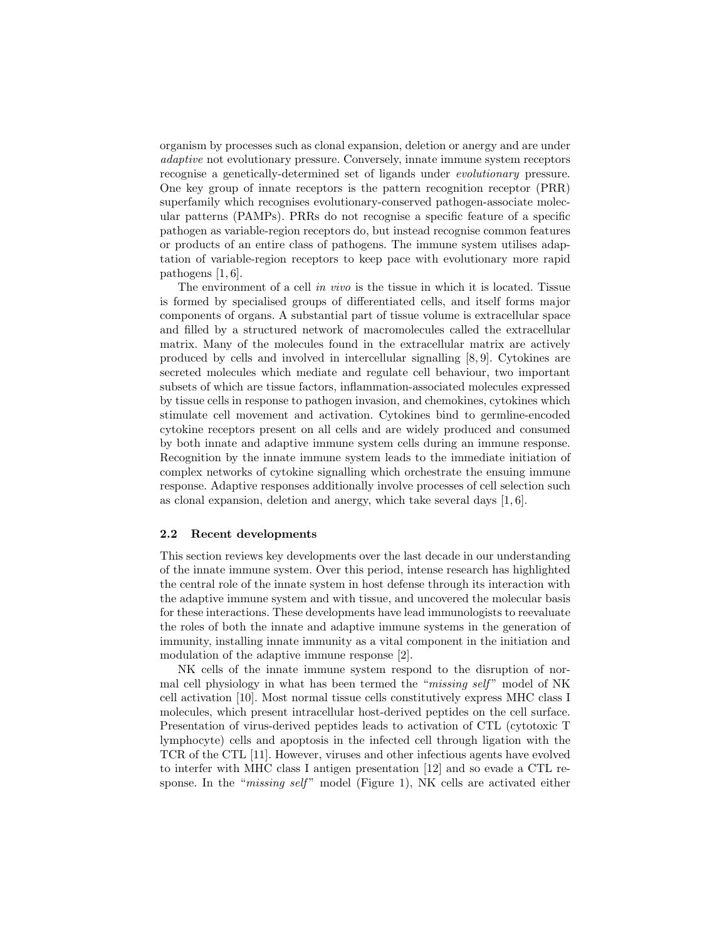organism by processes such as clonal expansion, deletion or anergy and are under adaptive not evolutionary pressure. Conversely, innate immune system receptors recognise a genetically-determined set of ligands under evolutionary pressure. One key group of innate receptors is the pattern recognition receptor (PRR) superfamily which recognises evolutionary-conserved pathogen-associate molecular patterns (PAMPs). PRRs do not recognise a specific feature of a specific pathogen as variable-region receptors do, but instead recognise common features or products of an entire class of pathogens. The immune system utilises adaptation of variable-region receptors to keep pace with evolutionary more rapid pathogens [1, 6].

The environment of a cell in vivo is the tissue in which it is located. Tissue is formed by specialised groups of differentiated cells, and itself forms major components of organs. A substantial part of tissue volume is extracellular space and filled by a structured network of macromolecules called the extracellular matrix. Many of the molecules found in the extracellular matrix are actively produced by cells and involved in intercellular signalling [8, 9]. Cytokines are secreted molecules which mediate and regulate cell behaviour, two important subsets of which are tissue factors, inflammation-associated molecules expressed by tissue cells in response to pathogen invasion, and chemokines, cytokines which stimulate cell movement and activation. Cytokines bind to germline-encoded cytokine receptors present on all cells and are widely produced and consumed by both innate and adaptive immune system cells during an immune response. Recognition by the innate immune system leads to the immediate initiation of complex networks of cytokine signalling which orchestrate the ensuing immune response. Adaptive responses additionally involve processes of cell selection such as clonal expansion, deletion and anergy, which take several days [1, 6].

#### 2.2 Recent developments

This section reviews key developments over the last decade in our understanding of the innate immune system. Over this period, intense research has highlighted the central role of the innate system in host defense through its interaction with the adaptive immune system and with tissue, and uncovered the molecular basis for these interactions. These developments have lead immunologists to reevaluate the roles of both the innate and adaptive immune systems in the generation of immunity, installing innate immunity as a vital component in the initiation and modulation of the adaptive immune response [2].

NK cells of the innate immune system respond to the disruption of normal cell physiology in what has been termed the "*missing self*" model of NK cell activation [10]. Most normal tissue cells constitutively express MHC class I molecules, which present intracellular host-derived peptides on the cell surface. Presentation of virus-derived peptides leads to activation of CTL (cytotoxic T lymphocyte) cells and apoptosis in the infected cell through ligation with the TCR of the CTL [11]. However, viruses and other infectious agents have evolved to interfer with MHC class I antigen presentation [12] and so evade a CTL response. In the "*missing self*" model (Figure 1), NK cells are activated either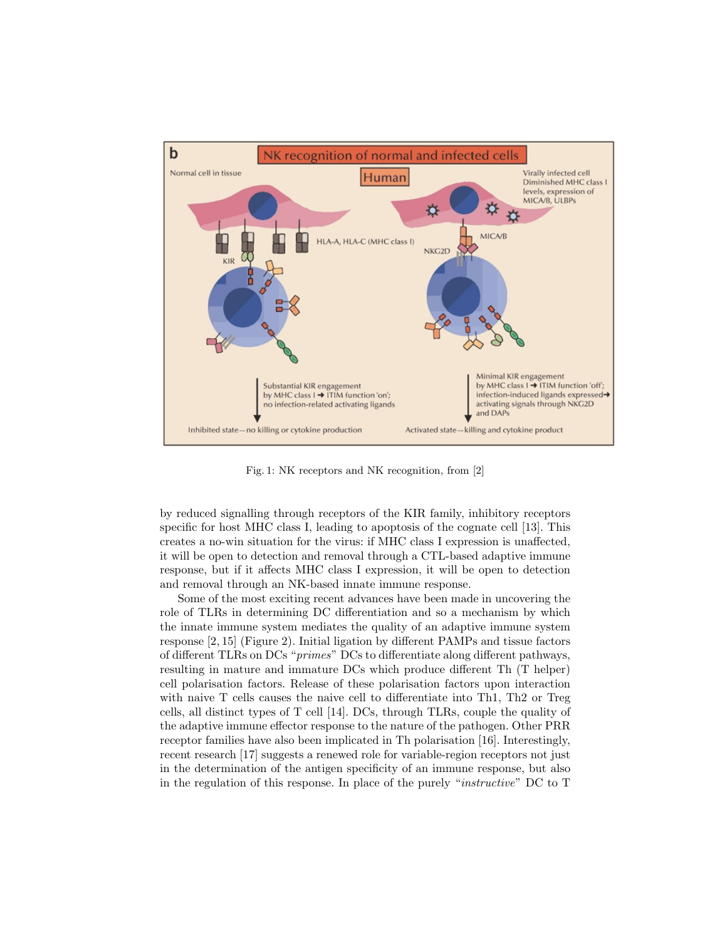

Fig. 1: NK receptors and NK recognition, from [2]

by reduced signalling through receptors of the KIR family, inhibitory receptors specific for host MHC class I, leading to apoptosis of the cognate cell [13]. This creates a no-win situation for the virus: if MHC class I expression is unaffected, it will be open to detection and removal through a CTL-based adaptive immune response, but if it affects MHC class I expression, it will be open to detection and removal through an NK-based innate immune response.

Some of the most exciting recent advances have been made in uncovering the role of TLRs in determining DC differentiation and so a mechanism by which the innate immune system mediates the quality of an adaptive immune system response [2, 15] (Figure 2). Initial ligation by different PAMPs and tissue factors of different TLRs on DCs "primes" DCs to differentiate along different pathways, resulting in mature and immature DCs which produce different Th (T helper) cell polarisation factors. Release of these polarisation factors upon interaction with naive T cells causes the naive cell to differentiate into Th1, Th2 or Treg cells, all distinct types of T cell [14]. DCs, through TLRs, couple the quality of the adaptive immune effector response to the nature of the pathogen. Other PRR receptor families have also been implicated in Th polarisation [16]. Interestingly, recent research [17] suggests a renewed role for variable-region receptors not just in the determination of the antigen specificity of an immune response, but also in the regulation of this response. In place of the purely "instructive" DC to T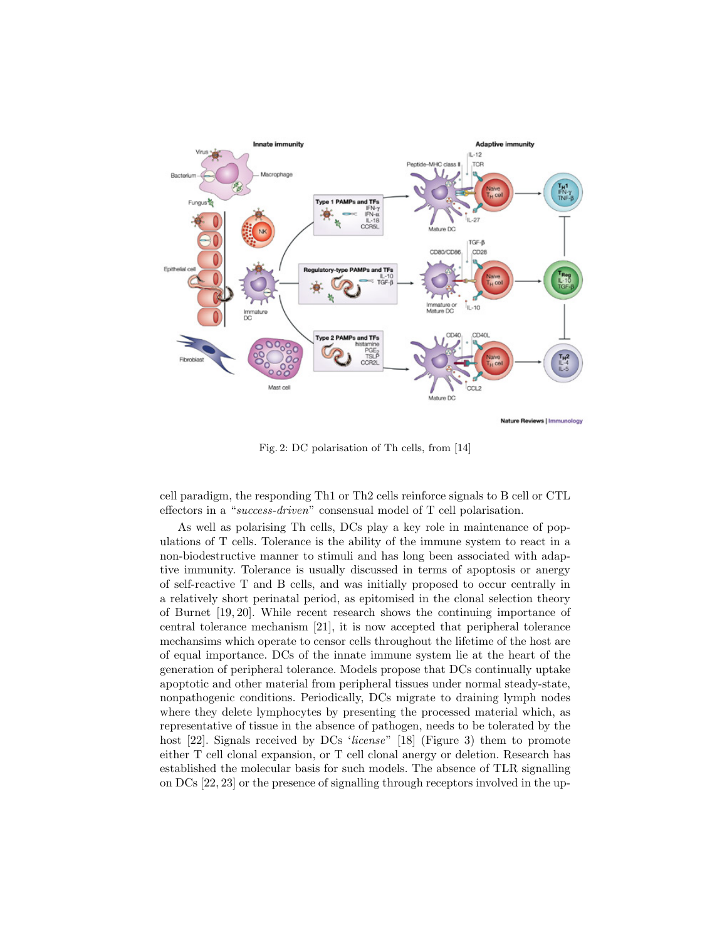

Fig. 2: DC polarisation of Th cells, from [14]

cell paradigm, the responding Th1 or Th2 cells reinforce signals to B cell or CTL effectors in a "success-driven" consensual model of T cell polarisation.

As well as polarising Th cells, DCs play a key role in maintenance of populations of T cells. Tolerance is the ability of the immune system to react in a non-biodestructive manner to stimuli and has long been associated with adaptive immunity. Tolerance is usually discussed in terms of apoptosis or anergy of self-reactive T and B cells, and was initially proposed to occur centrally in a relatively short perinatal period, as epitomised in the clonal selection theory of Burnet [19, 20]. While recent research shows the continuing importance of central tolerance mechanism [21], it is now accepted that peripheral tolerance mechansims which operate to censor cells throughout the lifetime of the host are of equal importance. DCs of the innate immune system lie at the heart of the generation of peripheral tolerance. Models propose that DCs continually uptake apoptotic and other material from peripheral tissues under normal steady-state, nonpathogenic conditions. Periodically, DCs migrate to draining lymph nodes where they delete lymphocytes by presenting the processed material which, as representative of tissue in the absence of pathogen, needs to be tolerated by the host [22]. Signals received by DCs 'license" [18] (Figure 3) them to promote either T cell clonal expansion, or T cell clonal anergy or deletion. Research has established the molecular basis for such models. The absence of TLR signalling on DCs [22, 23] or the presence of signalling through receptors involved in the up-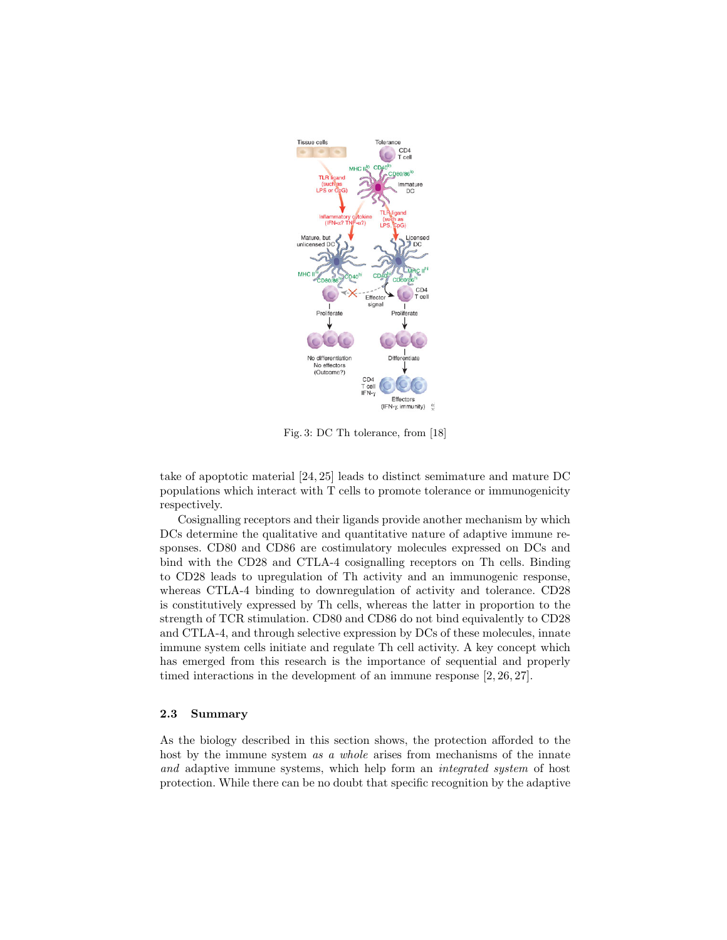

Fig. 3: DC Th tolerance, from [18]

take of apoptotic material [24, 25] leads to distinct semimature and mature DC populations which interact with T cells to promote tolerance or immunogenicity respectively.

Cosignalling receptors and their ligands provide another mechanism by which DCs determine the qualitative and quantitative nature of adaptive immune responses. CD80 and CD86 are costimulatory molecules expressed on DCs and bind with the CD28 and CTLA-4 cosignalling receptors on Th cells. Binding to CD28 leads to upregulation of Th activity and an immunogenic response, whereas CTLA-4 binding to downregulation of activity and tolerance. CD28 is constitutively expressed by Th cells, whereas the latter in proportion to the strength of TCR stimulation. CD80 and CD86 do not bind equivalently to CD28 and CTLA-4, and through selective expression by DCs of these molecules, innate immune system cells initiate and regulate Th cell activity. A key concept which has emerged from this research is the importance of sequential and properly timed interactions in the development of an immune response [2, 26, 27].

#### 2.3 Summary

As the biology described in this section shows, the protection afforded to the host by the immune system as a whole arises from mechanisms of the innate and adaptive immune systems, which help form an integrated system of host protection. While there can be no doubt that specific recognition by the adaptive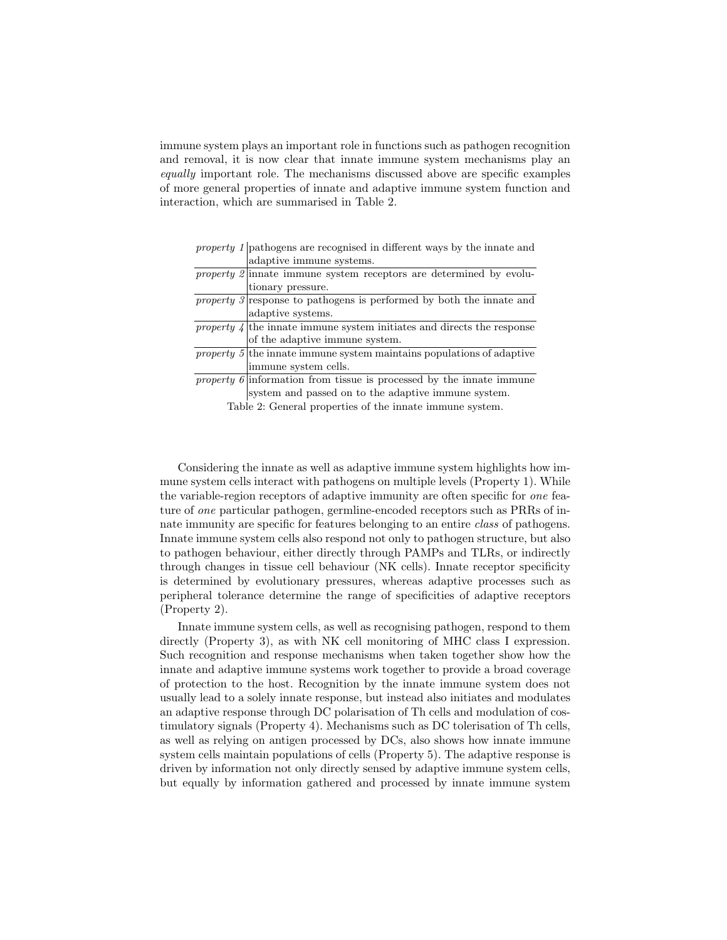immune system plays an important role in functions such as pathogen recognition and removal, it is now clear that innate immune system mechanisms play an equally important role. The mechanisms discussed above are specific examples of more general properties of innate and adaptive immune system function and interaction, which are summarised in Table 2.

| <i>property</i> $1$ pathogens are recognised in different ways by the innate and |  |
|----------------------------------------------------------------------------------|--|
| adaptive immune systems.                                                         |  |
| <i>property</i> 2 linnate immune system receptors are determined by evolu-       |  |
| tionary pressure.                                                                |  |
| property $\beta$ response to pathogens is performed by both the innate and       |  |
| adaptive systems.                                                                |  |
| property $4$ the innate immune system initiates and directs the response         |  |
| of the adaptive immune system.                                                   |  |
| <i>property</i> $5$ the innate immune system maintains populations of adaptive   |  |
| immune system cells.                                                             |  |
| <i>property</i> $6$ information from tissue is processed by the innate immune    |  |
| system and passed on to the adaptive immune system.                              |  |

Table 2: General properties of the innate immune system.

Considering the innate as well as adaptive immune system highlights how immune system cells interact with pathogens on multiple levels (Property 1). While the variable-region receptors of adaptive immunity are often specific for one feature of one particular pathogen, germline-encoded receptors such as PRRs of innate immunity are specific for features belonging to an entire class of pathogens. Innate immune system cells also respond not only to pathogen structure, but also to pathogen behaviour, either directly through PAMPs and TLRs, or indirectly through changes in tissue cell behaviour (NK cells). Innate receptor specificity is determined by evolutionary pressures, whereas adaptive processes such as peripheral tolerance determine the range of specificities of adaptive receptors (Property 2).

Innate immune system cells, as well as recognising pathogen, respond to them directly (Property 3), as with NK cell monitoring of MHC class I expression. Such recognition and response mechanisms when taken together show how the innate and adaptive immune systems work together to provide a broad coverage of protection to the host. Recognition by the innate immune system does not usually lead to a solely innate response, but instead also initiates and modulates an adaptive response through DC polarisation of Th cells and modulation of costimulatory signals (Property 4). Mechanisms such as DC tolerisation of Th cells, as well as relying on antigen processed by DCs, also shows how innate immune system cells maintain populations of cells (Property 5). The adaptive response is driven by information not only directly sensed by adaptive immune system cells, but equally by information gathered and processed by innate immune system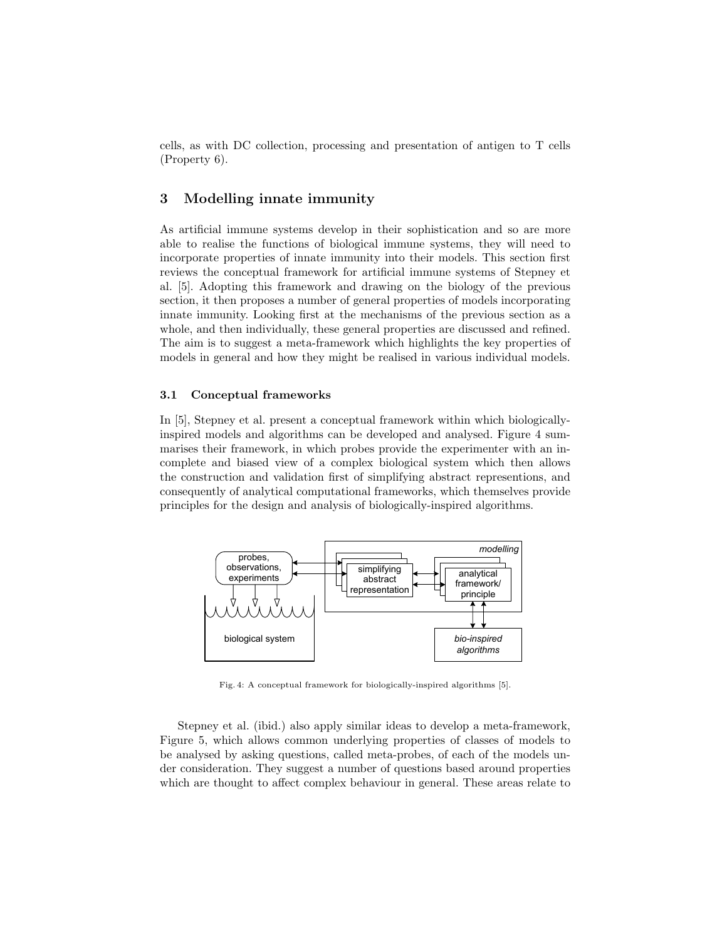cells, as with DC collection, processing and presentation of antigen to T cells (Property 6).

## 3 Modelling innate immunity

As artificial immune systems develop in their sophistication and so are more able to realise the functions of biological immune systems, they will need to incorporate properties of innate immunity into their models. This section first reviews the conceptual framework for artificial immune systems of Stepney et al. [5]. Adopting this framework and drawing on the biology of the previous section, it then proposes a number of general properties of models incorporating innate immunity. Looking first at the mechanisms of the previous section as a whole, and then individually, these general properties are discussed and refined. The aim is to suggest a meta-framework which highlights the key properties of models in general and how they might be realised in various individual models.

#### 3.1 Conceptual frameworks

In [5], Stepney et al. present a conceptual framework within which biologicallyinspired models and algorithms can be developed and analysed. Figure 4 summarises their framework, in which probes provide the experimenter with an incomplete and biased view of a complex biological system which then allows the construction and validation first of simplifying abstract representions, and consequently of analytical computational frameworks, which themselves provide principles for the design and analysis of biologically-inspired algorithms.



Fig. 4: A conceptual framework for biologically-inspired algorithms [5].

Stepney et al. (ibid.) also apply similar ideas to develop a meta-framework, Figure 5, which allows common underlying properties of classes of models to be analysed by asking questions, called meta-probes, of each of the models under consideration. They suggest a number of questions based around properties which are thought to affect complex behaviour in general. These areas relate to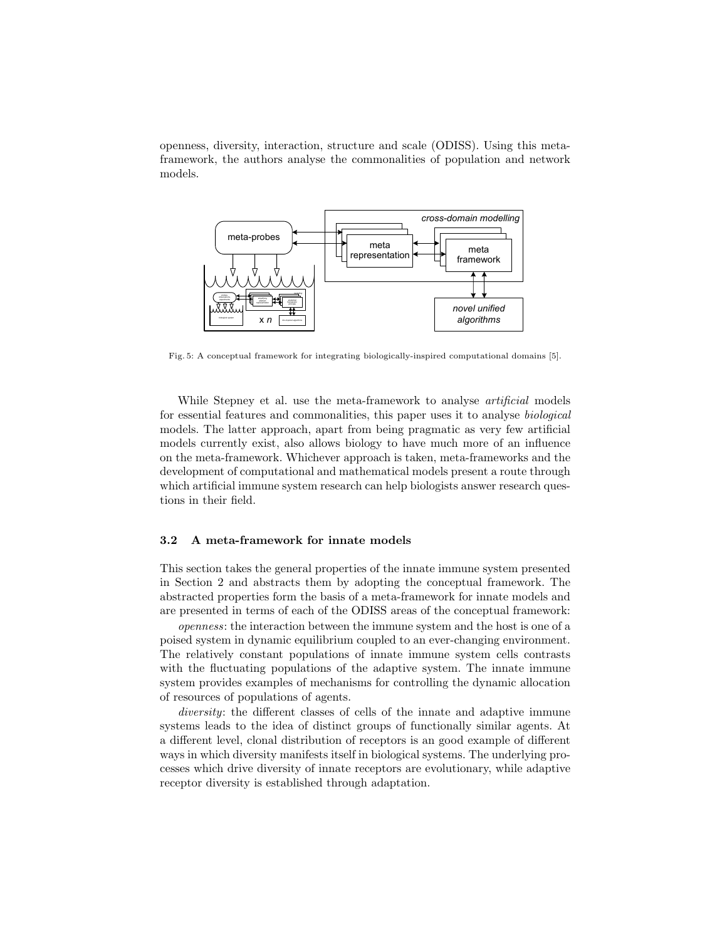openness, diversity, interaction, structure and scale (ODISS). Using this metaframework, the authors analyse the commonalities of population and network models.



Fig. 5: A conceptual framework for integrating biologically-inspired computational domains [5].

While Stepney et al. use the meta-framework to analyse *artificial* models for essential features and commonalities, this paper uses it to analyse biological models. The latter approach, apart from being pragmatic as very few artificial models currently exist, also allows biology to have much more of an influence on the meta-framework. Whichever approach is taken, meta-frameworks and the development of computational and mathematical models present a route through which artificial immune system research can help biologists answer research questions in their field.

## 3.2 A meta-framework for innate models

This section takes the general properties of the innate immune system presented in Section 2 and abstracts them by adopting the conceptual framework. The abstracted properties form the basis of a meta-framework for innate models and are presented in terms of each of the ODISS areas of the conceptual framework:

openness: the interaction between the immune system and the host is one of a poised system in dynamic equilibrium coupled to an ever-changing environment. The relatively constant populations of innate immune system cells contrasts with the fluctuating populations of the adaptive system. The innate immune system provides examples of mechanisms for controlling the dynamic allocation of resources of populations of agents.

diversity: the different classes of cells of the innate and adaptive immune systems leads to the idea of distinct groups of functionally similar agents. At a different level, clonal distribution of receptors is an good example of different ways in which diversity manifests itself in biological systems. The underlying processes which drive diversity of innate receptors are evolutionary, while adaptive receptor diversity is established through adaptation.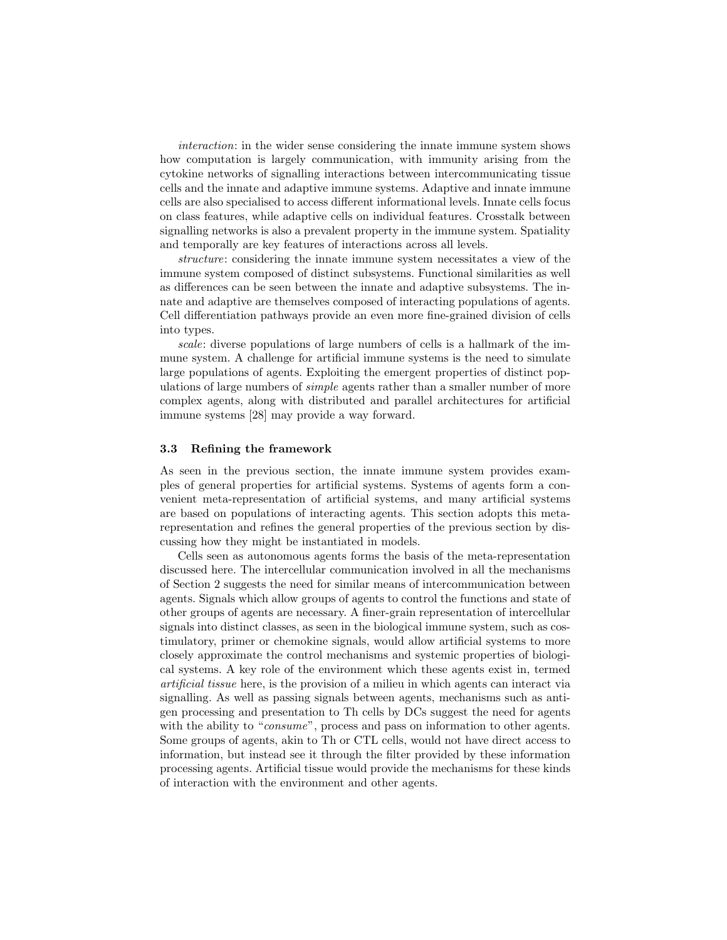interaction: in the wider sense considering the innate immune system shows how computation is largely communication, with immunity arising from the cytokine networks of signalling interactions between intercommunicating tissue cells and the innate and adaptive immune systems. Adaptive and innate immune cells are also specialised to access different informational levels. Innate cells focus on class features, while adaptive cells on individual features. Crosstalk between signalling networks is also a prevalent property in the immune system. Spatiality and temporally are key features of interactions across all levels.

structure: considering the innate immune system necessitates a view of the immune system composed of distinct subsystems. Functional similarities as well as differences can be seen between the innate and adaptive subsystems. The innate and adaptive are themselves composed of interacting populations of agents. Cell differentiation pathways provide an even more fine-grained division of cells into types.

scale: diverse populations of large numbers of cells is a hallmark of the immune system. A challenge for artificial immune systems is the need to simulate large populations of agents. Exploiting the emergent properties of distinct populations of large numbers of simple agents rather than a smaller number of more complex agents, along with distributed and parallel architectures for artificial immune systems [28] may provide a way forward.

#### 3.3 Refining the framework

As seen in the previous section, the innate immune system provides examples of general properties for artificial systems. Systems of agents form a convenient meta-representation of artificial systems, and many artificial systems are based on populations of interacting agents. This section adopts this metarepresentation and refines the general properties of the previous section by discussing how they might be instantiated in models.

Cells seen as autonomous agents forms the basis of the meta-representation discussed here. The intercellular communication involved in all the mechanisms of Section 2 suggests the need for similar means of intercommunication between agents. Signals which allow groups of agents to control the functions and state of other groups of agents are necessary. A finer-grain representation of intercellular signals into distinct classes, as seen in the biological immune system, such as costimulatory, primer or chemokine signals, would allow artificial systems to more closely approximate the control mechanisms and systemic properties of biological systems. A key role of the environment which these agents exist in, termed artificial tissue here, is the provision of a milieu in which agents can interact via signalling. As well as passing signals between agents, mechanisms such as antigen processing and presentation to Th cells by DCs suggest the need for agents with the ability to "*consume*", process and pass on information to other agents. Some groups of agents, akin to Th or CTL cells, would not have direct access to information, but instead see it through the filter provided by these information processing agents. Artificial tissue would provide the mechanisms for these kinds of interaction with the environment and other agents.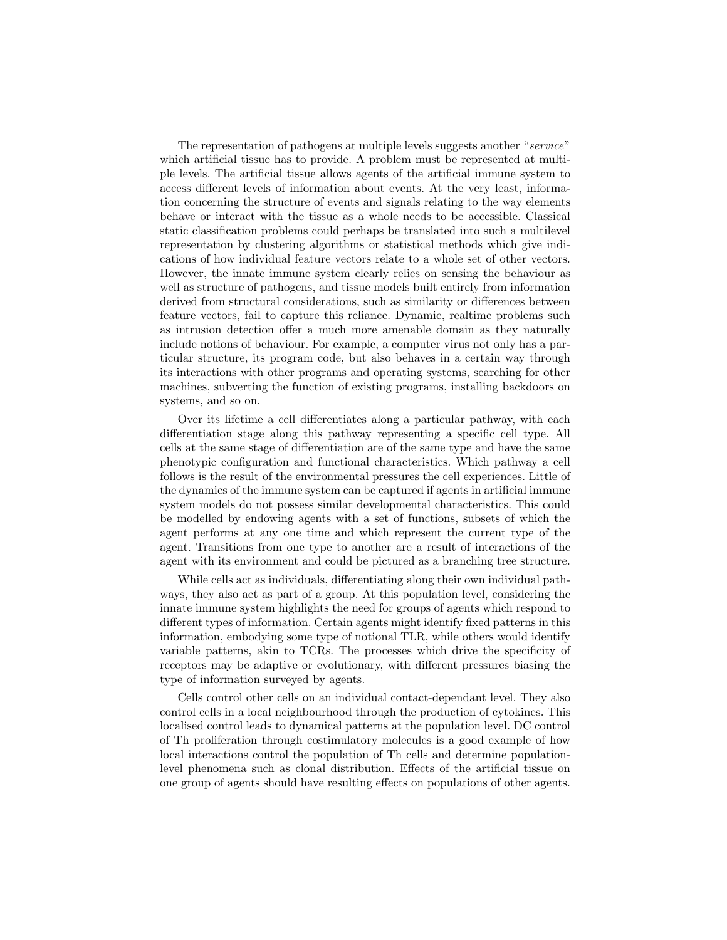The representation of pathogens at multiple levels suggests another "service" which artificial tissue has to provide. A problem must be represented at multiple levels. The artificial tissue allows agents of the artificial immune system to access different levels of information about events. At the very least, information concerning the structure of events and signals relating to the way elements behave or interact with the tissue as a whole needs to be accessible. Classical static classification problems could perhaps be translated into such a multilevel representation by clustering algorithms or statistical methods which give indications of how individual feature vectors relate to a whole set of other vectors. However, the innate immune system clearly relies on sensing the behaviour as well as structure of pathogens, and tissue models built entirely from information derived from structural considerations, such as similarity or differences between feature vectors, fail to capture this reliance. Dynamic, realtime problems such as intrusion detection offer a much more amenable domain as they naturally include notions of behaviour. For example, a computer virus not only has a particular structure, its program code, but also behaves in a certain way through its interactions with other programs and operating systems, searching for other machines, subverting the function of existing programs, installing backdoors on systems, and so on.

Over its lifetime a cell differentiates along a particular pathway, with each differentiation stage along this pathway representing a specific cell type. All cells at the same stage of differentiation are of the same type and have the same phenotypic configuration and functional characteristics. Which pathway a cell follows is the result of the environmental pressures the cell experiences. Little of the dynamics of the immune system can be captured if agents in artificial immune system models do not possess similar developmental characteristics. This could be modelled by endowing agents with a set of functions, subsets of which the agent performs at any one time and which represent the current type of the agent. Transitions from one type to another are a result of interactions of the agent with its environment and could be pictured as a branching tree structure.

While cells act as individuals, differentiating along their own individual pathways, they also act as part of a group. At this population level, considering the innate immune system highlights the need for groups of agents which respond to different types of information. Certain agents might identify fixed patterns in this information, embodying some type of notional TLR, while others would identify variable patterns, akin to TCRs. The processes which drive the specificity of receptors may be adaptive or evolutionary, with different pressures biasing the type of information surveyed by agents.

Cells control other cells on an individual contact-dependant level. They also control cells in a local neighbourhood through the production of cytokines. This localised control leads to dynamical patterns at the population level. DC control of Th proliferation through costimulatory molecules is a good example of how local interactions control the population of Th cells and determine populationlevel phenomena such as clonal distribution. Effects of the artificial tissue on one group of agents should have resulting effects on populations of other agents.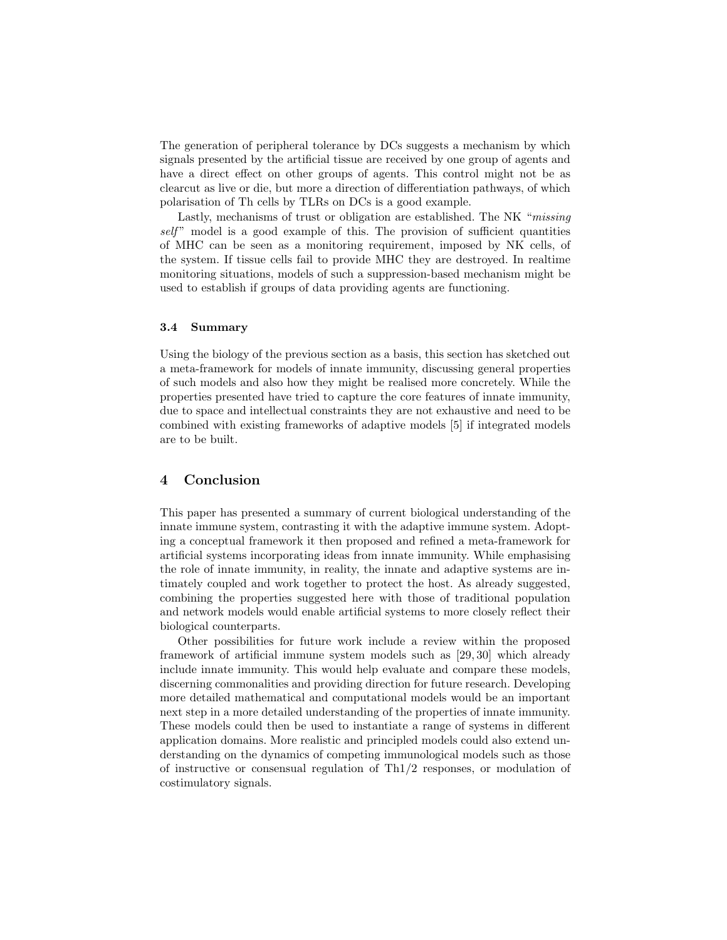The generation of peripheral tolerance by DCs suggests a mechanism by which signals presented by the artificial tissue are received by one group of agents and have a direct effect on other groups of agents. This control might not be as clearcut as live or die, but more a direction of differentiation pathways, of which polarisation of Th cells by TLRs on DCs is a good example.

Lastly, mechanisms of trust or obligation are established. The NK "missing self" model is a good example of this. The provision of sufficient quantities of MHC can be seen as a monitoring requirement, imposed by NK cells, of the system. If tissue cells fail to provide MHC they are destroyed. In realtime monitoring situations, models of such a suppression-based mechanism might be used to establish if groups of data providing agents are functioning.

#### 3.4 Summary

Using the biology of the previous section as a basis, this section has sketched out a meta-framework for models of innate immunity, discussing general properties of such models and also how they might be realised more concretely. While the properties presented have tried to capture the core features of innate immunity, due to space and intellectual constraints they are not exhaustive and need to be combined with existing frameworks of adaptive models [5] if integrated models are to be built.

## 4 Conclusion

This paper has presented a summary of current biological understanding of the innate immune system, contrasting it with the adaptive immune system. Adopting a conceptual framework it then proposed and refined a meta-framework for artificial systems incorporating ideas from innate immunity. While emphasising the role of innate immunity, in reality, the innate and adaptive systems are intimately coupled and work together to protect the host. As already suggested, combining the properties suggested here with those of traditional population and network models would enable artificial systems to more closely reflect their biological counterparts.

Other possibilities for future work include a review within the proposed framework of artificial immune system models such as [29, 30] which already include innate immunity. This would help evaluate and compare these models, discerning commonalities and providing direction for future research. Developing more detailed mathematical and computational models would be an important next step in a more detailed understanding of the properties of innate immunity. These models could then be used to instantiate a range of systems in different application domains. More realistic and principled models could also extend understanding on the dynamics of competing immunological models such as those of instructive or consensual regulation of Th1/2 responses, or modulation of costimulatory signals.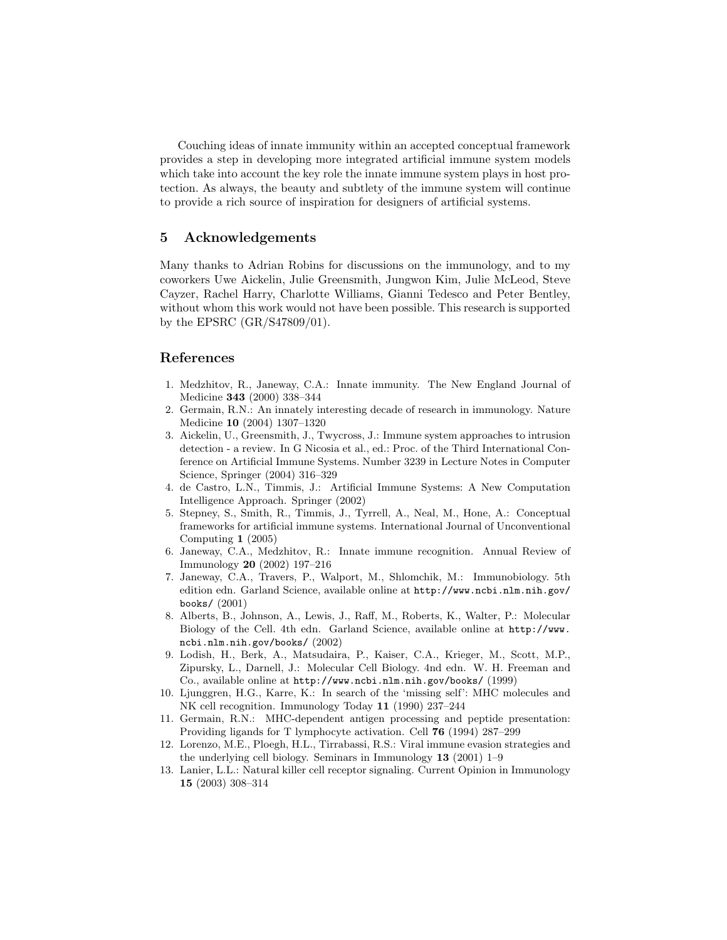Couching ideas of innate immunity within an accepted conceptual framework provides a step in developing more integrated artificial immune system models which take into account the key role the innate immune system plays in host protection. As always, the beauty and subtlety of the immune system will continue to provide a rich source of inspiration for designers of artificial systems.

## 5 Acknowledgements

Many thanks to Adrian Robins for discussions on the immunology, and to my coworkers Uwe Aickelin, Julie Greensmith, Jungwon Kim, Julie McLeod, Steve Cayzer, Rachel Harry, Charlotte Williams, Gianni Tedesco and Peter Bentley, without whom this work would not have been possible. This research is supported by the EPSRC (GR/S47809/01).

## References

- 1. Medzhitov, R., Janeway, C.A.: Innate immunity. The New England Journal of Medicine 343 (2000) 338–344
- 2. Germain, R.N.: An innately interesting decade of research in immunology. Nature Medicine 10 (2004) 1307–1320
- 3. Aickelin, U., Greensmith, J., Twycross, J.: Immune system approaches to intrusion detection - a review. In G Nicosia et al., ed.: Proc. of the Third International Conference on Artificial Immune Systems. Number 3239 in Lecture Notes in Computer Science, Springer (2004) 316–329
- 4. de Castro, L.N., Timmis, J.: Artificial Immune Systems: A New Computation Intelligence Approach. Springer (2002)
- 5. Stepney, S., Smith, R., Timmis, J., Tyrrell, A., Neal, M., Hone, A.: Conceptual frameworks for artificial immune systems. International Journal of Unconventional Computing 1 (2005)
- 6. Janeway, C.A., Medzhitov, R.: Innate immune recognition. Annual Review of Immunology 20 (2002) 197–216
- 7. Janeway, C.A., Travers, P., Walport, M., Shlomchik, M.: Immunobiology. 5th edition edn. Garland Science, available online at http://www.ncbi.nlm.nih.gov/ books/ (2001)
- 8. Alberts, B., Johnson, A., Lewis, J., Raff, M., Roberts, K., Walter, P.: Molecular Biology of the Cell. 4th edn. Garland Science, available online at http://www. ncbi.nlm.nih.gov/books/ (2002)
- 9. Lodish, H., Berk, A., Matsudaira, P., Kaiser, C.A., Krieger, M., Scott, M.P., Zipursky, L., Darnell, J.: Molecular Cell Biology. 4nd edn. W. H. Freeman and Co., available online at http://www.ncbi.nlm.nih.gov/books/ (1999)
- 10. Ljunggren, H.G., Karre, K.: In search of the 'missing self': MHC molecules and NK cell recognition. Immunology Today 11 (1990) 237–244
- 11. Germain, R.N.: MHC-dependent antigen processing and peptide presentation: Providing ligands for T lymphocyte activation. Cell 76 (1994) 287–299
- 12. Lorenzo, M.E., Ploegh, H.L., Tirrabassi, R.S.: Viral immune evasion strategies and the underlying cell biology. Seminars in Immunology 13 (2001) 1–9
- 13. Lanier, L.L.: Natural killer cell receptor signaling. Current Opinion in Immunology 15 (2003) 308–314